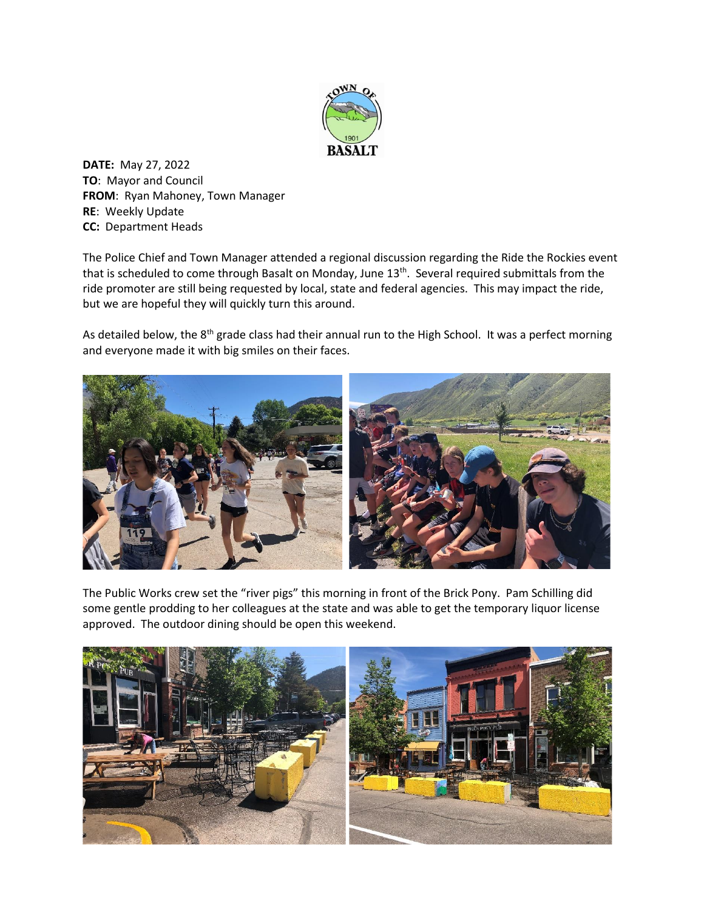

**DATE:** May 27, 2022 **TO**: Mayor and Council **FROM**: Ryan Mahoney, Town Manager **RE**: Weekly Update **CC:** Department Heads

The Police Chief and Town Manager attended a regional discussion regarding the Ride the Rockies event that is scheduled to come through Basalt on Monday, June 13<sup>th</sup>. Several required submittals from the ride promoter are still being requested by local, state and federal agencies. This may impact the ride, but we are hopeful they will quickly turn this around.

As detailed below, the 8<sup>th</sup> grade class had their annual run to the High School. It was a perfect morning and everyone made it with big smiles on their faces.



The Public Works crew set the "river pigs" this morning in front of the Brick Pony. Pam Schilling did some gentle prodding to her colleagues at the state and was able to get the temporary liquor license approved. The outdoor dining should be open this weekend.

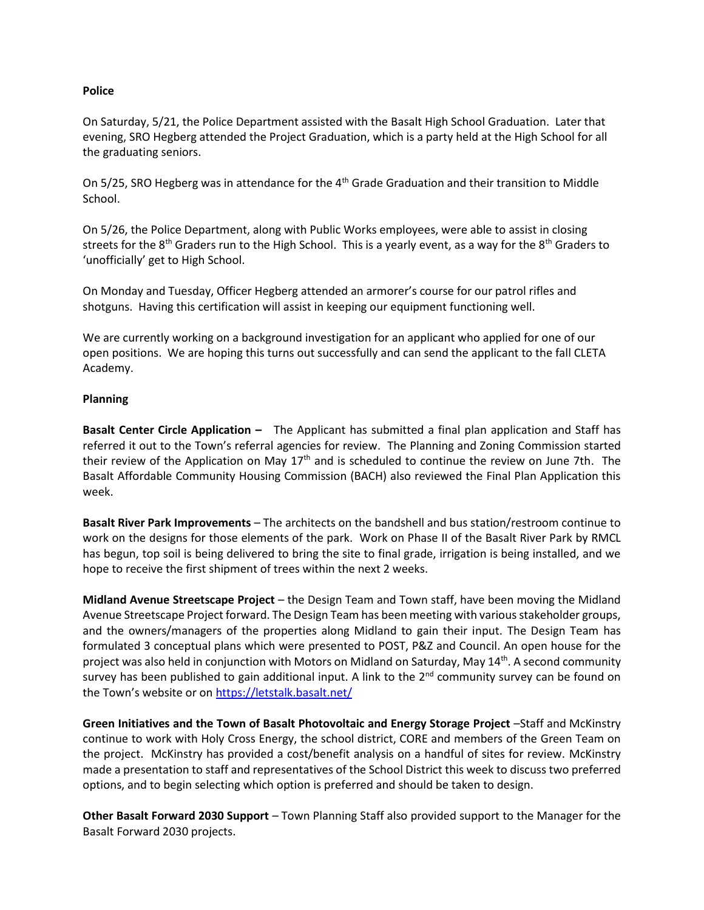## **Police**

On Saturday, 5/21, the Police Department assisted with the Basalt High School Graduation. Later that evening, SRO Hegberg attended the Project Graduation, which is a party held at the High School for all the graduating seniors.

On 5/25, SRO Hegberg was in attendance for the 4<sup>th</sup> Grade Graduation and their transition to Middle School.

On 5/26, the Police Department, along with Public Works employees, were able to assist in closing streets for the 8<sup>th</sup> Graders run to the High School. This is a yearly event, as a way for the 8<sup>th</sup> Graders to 'unofficially' get to High School.

On Monday and Tuesday, Officer Hegberg attended an armorer's course for our patrol rifles and shotguns. Having this certification will assist in keeping our equipment functioning well.

We are currently working on a background investigation for an applicant who applied for one of our open positions. We are hoping this turns out successfully and can send the applicant to the fall CLETA Academy.

## **Planning**

**Basalt Center Circle Application –** The Applicant has submitted a final plan application and Staff has referred it out to the Town's referral agencies for review. The Planning and Zoning Commission started their review of the Application on May 17<sup>th</sup> and is scheduled to continue the review on June 7th. The Basalt Affordable Community Housing Commission (BACH) also reviewed the Final Plan Application this week.

**Basalt River Park Improvements** – The architects on the bandshell and bus station/restroom continue to work on the designs for those elements of the park. Work on Phase II of the Basalt River Park by RMCL has begun, top soil is being delivered to bring the site to final grade, irrigation is being installed, and we hope to receive the first shipment of trees within the next 2 weeks.

**Midland Avenue Streetscape Project** – the Design Team and Town staff, have been moving the Midland Avenue Streetscape Project forward. The Design Team has been meeting with various stakeholder groups, and the owners/managers of the properties along Midland to gain their input. The Design Team has formulated 3 conceptual plans which were presented to POST, P&Z and Council. An open house for the project was also held in conjunction with Motors on Midland on Saturday, May 14<sup>th</sup>. A second community survey has been published to gain additional input. A link to the 2<sup>nd</sup> community survey can be found on the Town's website or on <https://letstalk.basalt.net/>

**Green Initiatives and the Town of Basalt Photovoltaic and Energy Storage Project** –Staff and McKinstry continue to work with Holy Cross Energy, the school district, CORE and members of the Green Team on the project. McKinstry has provided a cost/benefit analysis on a handful of sites for review. McKinstry made a presentation to staff and representatives of the School District this week to discuss two preferred options, and to begin selecting which option is preferred and should be taken to design.

**Other Basalt Forward 2030 Support** – Town Planning Staff also provided support to the Manager for the Basalt Forward 2030 projects.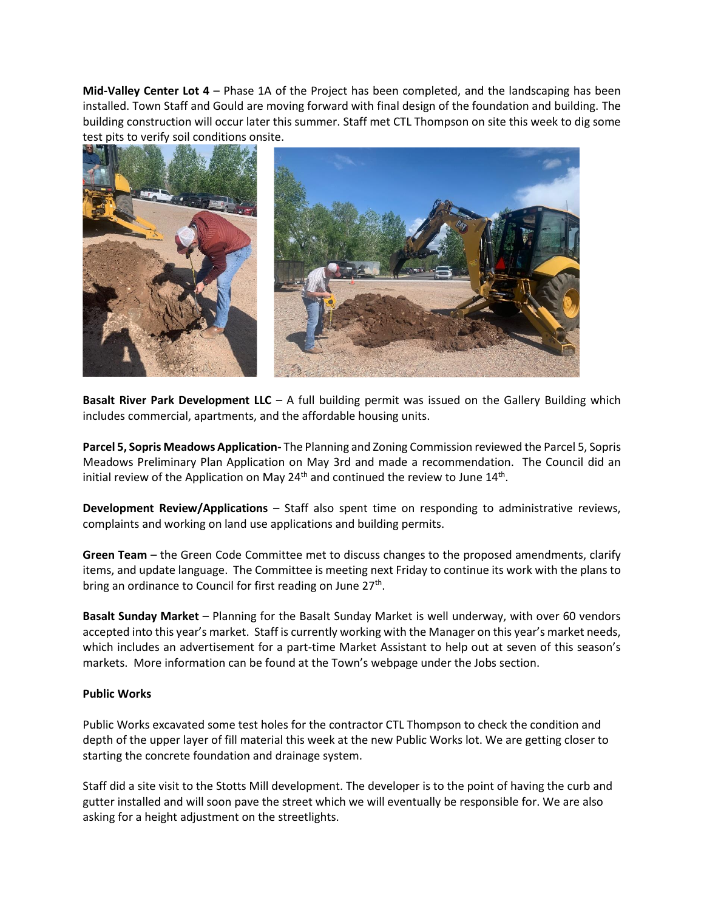**Mid-Valley Center Lot 4** – Phase 1A of the Project has been completed, and the landscaping has been installed. Town Staff and Gould are moving forward with final design of the foundation and building. The building construction will occur later this summer. Staff met CTL Thompson on site this week to dig some test pits to verify soil conditions onsite.



**Basalt River Park Development LLC** – A full building permit was issued on the Gallery Building which includes commercial, apartments, and the affordable housing units.

**Parcel 5, Sopris Meadows Application-** The Planning and Zoning Commission reviewed the Parcel 5, Sopris Meadows Preliminary Plan Application on May 3rd and made a recommendation. The Council did an initial review of the Application on May 24<sup>th</sup> and continued the review to June 14<sup>th</sup>.

**Development Review/Applications** – Staff also spent time on responding to administrative reviews, complaints and working on land use applications and building permits.

**Green Team** – the Green Code Committee met to discuss changes to the proposed amendments, clarify items, and update language. The Committee is meeting next Friday to continue its work with the plans to bring an ordinance to Council for first reading on June 27<sup>th</sup>.

**Basalt Sunday Market** – Planning for the Basalt Sunday Market is well underway, with over 60 vendors accepted into this year's market. Staff is currently working with the Manager on this year's market needs, which includes an advertisement for a part-time Market Assistant to help out at seven of this season's markets. More information can be found at the Town's webpage under the Jobs section.

## **Public Works**

Public Works excavated some test holes for the contractor CTL Thompson to check the condition and depth of the upper layer of fill material this week at the new Public Works lot. We are getting closer to starting the concrete foundation and drainage system.

Staff did a site visit to the Stotts Mill development. The developer is to the point of having the curb and gutter installed and will soon pave the street which we will eventually be responsible for. We are also asking for a height adjustment on the streetlights.